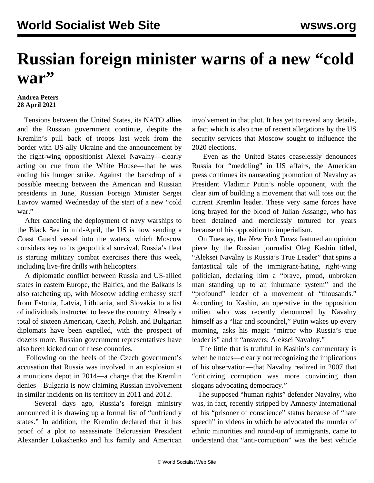## **Russian foreign minister warns of a new "cold war"**

## **Andrea Peters 28 April 2021**

 Tensions between the United States, its NATO allies and the Russian government continue, despite the Kremlin's pull back of troops last week from the border with US-ally Ukraine and the announcement by the right-wing oppositionist Alexei Navalny—clearly acting on cue from the White House—that he was ending his hunger strike. Against the backdrop of a possible meeting between the American and Russian presidents in June, Russian Foreign Minister Sergei Lavrov warned Wednesday of the start of a new "cold war."

 After canceling the deployment of navy warships to the Black Sea in mid-April, the US is now sending a Coast Guard vessel into the waters, which Moscow considers key to its geopolitical survival. Russia's fleet is starting military combat exercises there this week, including live-fire drills with helicopters.

 A diplomatic conflict between Russia and US-allied states in eastern Europe, the Baltics, and the Balkans is also ratcheting up, with Moscow adding embassy staff from Estonia, Latvia, Lithuania, and Slovakia to a list of individuals instructed to leave the country. Already a total of sixteen American, Czech, Polish, and Bulgarian diplomats have been expelled, with the prospect of dozens more. Russian government representatives have also been kicked out of these countries.

 Following on the heels of the Czech government's accusation that Russia was involved in an explosion at a munitions depot in 2014—a charge that the Kremlin denies—Bulgaria is now claiming Russian involvement in similar incidents on its territory in 2011 and 2012.

 Several days ago, Russia's foreign ministry announced it is drawing up a formal list of "unfriendly states." In addition, the Kremlin declared that it has proof of a plot to assassinate Belorussian President Alexander Lukashenko and his family and American

involvement in that plot. It has yet to reveal any details, a fact which is also true of recent allegations by the US security services that Moscow sought to influence the 2020 elections.

 Even as the United States ceaselessly denounces Russia for "meddling" in US affairs, the American press continues its nauseating promotion of Navalny as President Vladimir Putin's noble opponent, with the clear aim of building a movement that will toss out the current Kremlin leader. These very same forces have [long brayed for the blood of Julian Assange](/en/articles/2021/04/21/pers-j01.html), who has been detained and mercilessly tortured for years because of his opposition to imperialism.

 On Tuesday, the *New York Times* featured an opinion piece by the Russian journalist Oleg Kashin titled, "Aleksei Navalny Is Russia's True Leader" that spins a fantastical tale of the [immigrant-hating, right-wing](/en/articles/2018/01/09/nava-j09.html) [politician,](/en/articles/2018/01/09/nava-j09.html) declaring him a "brave, proud, unbroken man standing up to an inhumane system" and the "profound" leader of a movement of "thousands." According to Kashin, an operative in the opposition milieu who was recently denounced by Navalny himself as a "liar and scoundrel," Putin wakes up every morning, asks his magic "mirror who Russia's true leader is" and it "answers: Aleksei Navalny."

 The little that is truthful in Kashin's commentary is when he notes—clearly not recognizing the implications of his observation—that Navalny realized in 2007 that "criticizing corruption was more convincing than slogans advocating democracy."

 The supposed "human rights" defender Navalny, who was, in fact, [recently stripped by Amnesty International](/en/articles/2021/03/02/nava-j01.html) of his "prisoner of conscience" status because of "hate speech" in videos in which he advocated the murder of ethnic minorities and round-up of immigrants, came to understand that "anti-corruption" was the best vehicle